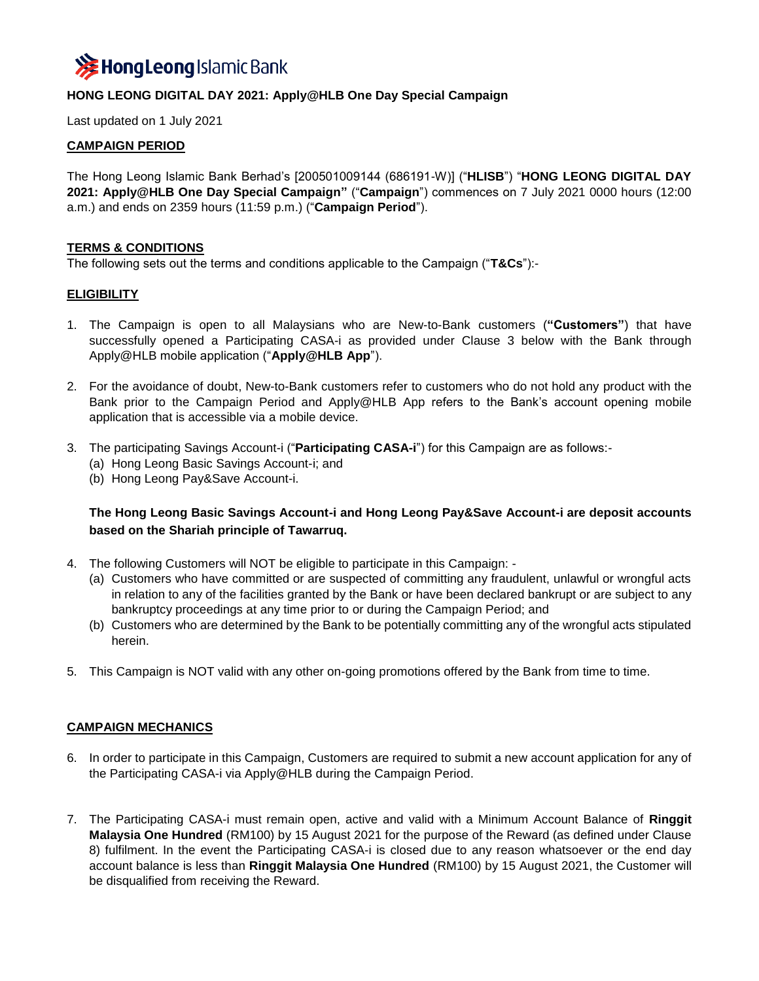

## **HONG LEONG DIGITAL DAY 2021: Apply@HLB One Day Special Campaign**

Last updated on 1 July 2021

### **CAMPAIGN PERIOD**

The Hong Leong Islamic Bank Berhad's [200501009144 (686191-W)] ("**HLISB**") "**HONG LEONG DIGITAL DAY 2021: Apply@HLB One Day Special Campaign"** ("**Campaign**") commences on 7 July 2021 0000 hours (12:00 a.m.) and ends on 2359 hours (11:59 p.m.) ("**Campaign Period**").

### **TERMS & CONDITIONS**

The following sets out the terms and conditions applicable to the Campaign ("**T&Cs**"):-

#### **ELIGIBILITY**

- 1. The Campaign is open to all Malaysians who are New-to-Bank customers (**"Customers"**) that have successfully opened a Participating CASA-i as provided under Clause 3 below with the Bank through Apply@HLB mobile application ("**Apply@HLB App**").
- 2. For the avoidance of doubt, New-to-Bank customers refer to customers who do not hold any product with the Bank prior to the Campaign Period and Apply@HLB App refers to the Bank's account opening mobile application that is accessible via a mobile device.
- 3. The participating Savings Account-i ("**Participating CASA-i**") for this Campaign are as follows:-
	- (a) Hong Leong Basic Savings Account-i; and
	- (b) Hong Leong Pay&Save Account-i.

# **The Hong Leong Basic Savings Account-i and Hong Leong Pay&Save Account-i are deposit accounts based on the Shariah principle of Tawarruq.**

- 4. The following Customers will NOT be eligible to participate in this Campaign:
	- (a) Customers who have committed or are suspected of committing any fraudulent, unlawful or wrongful acts in relation to any of the facilities granted by the Bank or have been declared bankrupt or are subject to any bankruptcy proceedings at any time prior to or during the Campaign Period; and
	- (b) Customers who are determined by the Bank to be potentially committing any of the wrongful acts stipulated herein.
- 5. This Campaign is NOT valid with any other on-going promotions offered by the Bank from time to time.

### **CAMPAIGN MECHANICS**

- 6. In order to participate in this Campaign, Customers are required to submit a new account application for any of the Participating CASA-i via Apply@HLB during the Campaign Period.
- 7. The Participating CASA-i must remain open, active and valid with a Minimum Account Balance of **Ringgit Malaysia One Hundred** (RM100) by 15 August 2021 for the purpose of the Reward (as defined under Clause 8) fulfilment. In the event the Participating CASA-i is closed due to any reason whatsoever or the end day account balance is less than **Ringgit Malaysia One Hundred** (RM100) by 15 August 2021, the Customer will be disqualified from receiving the Reward.